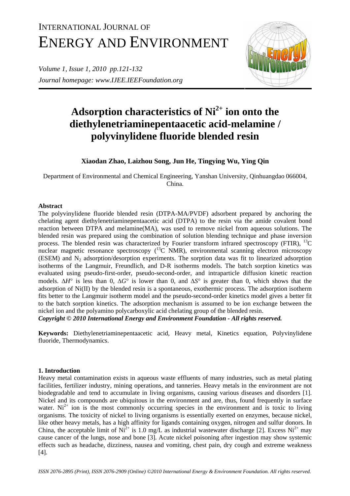# INTERNATIONAL JOURNAL OF ENERGY AND ENVIRONMENT

*Volume 1, Issue 1, 2010 pp.121-132 Journal homepage: www.IJEE.IEEFoundation.org* 



## Adsorption characteristics of Ni<sup>2+</sup> ion onto the **diethylenetriaminepentaacetic acid-melamine / polyvinylidene fluoride blended resin**

**Xiaodan Zhao, Laizhou Song, Jun He, Tingying Wu, Ying Qin** 

Department of Environmental and Chemical Engineering, Yanshan University, Qinhuangdao 066004, China.

## **Abstract**

The polyvinylidene fluoride blended resin (DTPA-MA/PVDF) adsorbent prepared by anchoring the chelating agent diethylenetriaminepentaacetic acid (DTPA) to the resin via the amide covalent bond reaction between DTPA and melamine(MA), was used to remove nickel from aqueous solutions. The blended resin was prepared using the combination of solution blending technique and phase inversion process. The blended resin was characterized by Fourier transform infrared spectroscopy (FTIR),  $^{13}$ C nuclear magnetic resonance spectroscopy  $({}^{13}C$  NMR), environmental scanning electron microscopy (ESEM) and  $N_2$  adsorption/desorption experiments. The sorption data was fit to linearized adsorption isotherms of the Langmuir, Freundlich, and D-R isotherms models. The batch sorption kinetics was evaluated using pseudo-first-order, pseudo-second-order, and intraparticle diffusion kinetic reaction models. ∆*H*° is less than 0, ∆*G*° is lower than 0, and ∆*S*° is greater than 0, which shows that the adsorption of Ni(II) by the blended resin is a spontaneous, exothermic process. The adsorption isotherm fits better to the Langmuir isotherm model and the pseudo-second-order kinetics model gives a better fit to the batch sorption kinetics. The adsorption mechanism is assumed to be ion exchange between the nickel ion and the polyamino polycarboxylic acid chelating group of the blended resin.

*Copyright © 2010 International Energy and Environment Foundation - All rights reserved.*

**Keywords:** Diethylenetriaminepentaacetic acid, Heavy metal, Kinetics equation, Polyvinylidene fluoride, Thermodynamics.

## **1. Introduction**

Heavy metal contamination exists in aqueous waste effluents of many industries, such as metal plating facilities, fertilizer industry, mining operations, and tanneries. Heavy metals in the environment are not biodegradable and tend to accumulate in living organisms, causing various diseases and disorders [1]. Nickel and its compounds are ubiquitous in the environment and are, thus, found frequently in surface water.  $Ni^{2+}$  ion is the most commonly occurring species in the environment and is toxic to living organisms. The toxicity of nickel to living organisms is essentially exerted on enzymes, because nickel, like other heavy metals, has a high affinity for ligands containing oxygen, nitrogen and sulfur donors. In China, the acceptable limit of  $Ni^{2+}$  is 1.0 mg/L as industrial wastewater discharge [2]. Excess  $Ni^{2+}$  may cause cancer of the lungs, nose and bone [3]. Acute nickel poisoning after ingestion may show systemic effects such as headache, dizziness, nausea and vomiting, chest pain, dry cough and extreme weakness [4].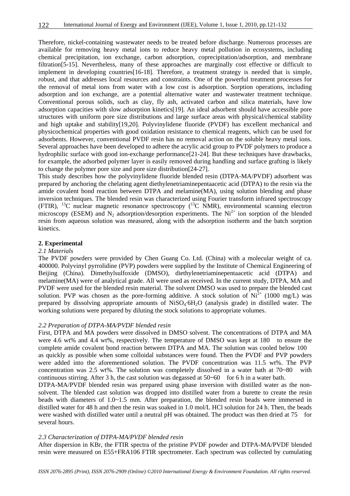Therefore, nickel-containing wastewater needs to be treated before discharge. Numerous processes are available for removing heavy metal ions to reduce heavy metal pollution in ecosystems, including chemical precipitation, ion exchange, carbon adsorption, coprecipitation/adsorption, and membrane filtration[5-15]. Nevertheless, many of these approaches are marginally cost effective or difficult to implement in developing countries[16-18]. Therefore, a treatment strategy is needed that is simple, robust, and that addresses local resources and constraints. One of the powerful treatment processes for the removal of metal ions from water with a low cost is adsorption. Sorption operations, including adsorption and ion exchange, are a potential alternative water and wastewater treatment technique. Conventional porous solids, such as clay, fly ash, activated carbon and silica materials, have low adsorption capacities with slow adsorption kinetics[19]. An ideal adsorbent should have accessible pore structures with uniform pore size distributions and large surface areas with physical/chemical stability and high uptake and stability[19,20]. Polyvinylidene fluoride (PVDF) has excellent mechanical and physicochemical properties with good oxidation resistance to chemical reagents, which can be used for adsorbents. However, conventional PVDF resin has no removal action on the soluble heavy metal ions. Several approaches have been developed to adhere the acrylic acid group to PVDF polymers to produce a hydrophilic surface with good ion-exchange performance[21-24]. But these techniques have drawbacks, for example, the adsorbed polymer layer is easily removed during handling and surface grafting is likely to change the polymer pore size and pore size distribution[24-27].

This study describes how the polyvinylidene fluoride blended resin (DTPA-MA/PVDF) adsorbent was prepared by anchoring the chelating agent diethylenetriaminepentaacetic acid (DTPA) to the resin via the amide covalent bond reaction between DTPA and melamine(MA), using solution blending and phase inversion techniques. The blended resin was characterized using Fourier transform infrared spectroscopy (FTIR), <sup>13</sup>C nuclear magnetic resonance spectroscopy (<sup>13</sup>C NMR), environmental scanning electron microscopy (ESEM) and  $N_2$  adsorption/desorption experiments. The  $Ni^{2+}$  ion sorption of the blended resin from aqueous solution was measured, along with the adsorption isotherm and the batch sorption kinetics.

#### **2. Experimental**

## *2.1 Materials*

The PVDF powders were provided by Chen Guang Co. Ltd. (China) with a molecular weight of ca. 400000. Polyvinyl pyrrolidine (PVP) powders were supplied by the Institute of Chemical Engineering of Beijing (China). Dimethylsulfoxide (DMSO), diethylenetriaminepentaacetic acid (DTPA) and melamine(MA) were of analytical grade. All were used as received. In the current study, DTPA, MA and PVDF were used for the blended resin material. The solvent DMSO was used to prepare the blended cast solution. PVP was chosen as the pore-forming additive. A stock solution of  $Ni^{2+}$  (1000 mg/L) was prepared by dissolving appropriate amounts of  $Niso<sub>4</sub>·6H<sub>2</sub>O$  (analysis grade) in distilled water. The working solutions were prepared by diluting the stock solutions to appropriate volumes.

#### *2.2 Preparation of DTPA-MA/PVDF blended resin*

First, DTPA and MA powders were dissolved in DMSO solvent. The concentrations of DTPA and MA were 4.6 wt% and 4.4 wt%, respectively. The temperature of DMSO was kept at 180 to ensure the complete amide covalent bond reaction between DTPA and MA. The solution was cooled below 100 as quickly as possible when some colloidal substances were found. Then the PVDF and PVP powders were added into the aforementioned solution. The PVDF concentration was 11.5 wt%. The PVP concentration was 2.5 wt%. The solution was completely dissolved in a water bath at 70~80 with continuous stirring. After 3 h, the cast solution was degassed at  $50~60$  for 6 h in a water bath.

DTPA-MA/PVDF blended resin was prepared using phase inversion with distilled water as the nonsolvent. The blended cast solution was dropped into distilled water from a burette to create the resin beads with diameters of  $1.0~1.5$  mm. After preparation, the blended resin beads were immersed in distilled water for 48 h and then the resin was soaked in 1.0 mol/L HCl solution for 24 h. Then, the beads were washed with distilled water until a neutral pH was obtained. The product was then dried at 75 for several hours.

#### *2.3 Characterization of DTPA-MA/PVDF blended resin*

After dispersion in KBr, the FTIR spectra of the pristine PVDF powder and DTPA-MA/PVDF blended resin were measured on E55+FRA106 FTIR spectrometer. Each spectrum was collected by cumulating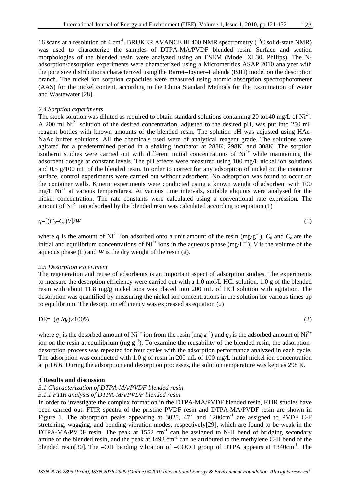16 scans at a resolution of 4 cm<sup>-1</sup>. BRUKER AVANCE III 400 NMR spectrometry  $(^{13}C$  solid-state NMR) was used to characterize the samples of DTPA-MA/PVDF blended resin. Surface and section morphologies of the blended resin were analyzed using an ESEM (Model XL30, Philips). The  $N_2$ adsorption/desorption experiments were characterized using a Micromeritics ASAP 2010 analyzer with the pore size distributions characterized using the Barret–Joyner–Halenda (BJH) model on the desorption branch. The nickel ion sorption capacities were measured using atomic absorption spectrophotometer (AAS) for the nickel content, according to the China Standard Methods for the Examination of Water and Wastewater [28].

#### *2.4 Sorption experiments*

The stock solution was diluted as required to obtain standard solutions containing 20 to 140 mg/L of Ni<sup>2+</sup>. A 200 ml  $Ni<sup>2+</sup>$  solution of the desired concentration, adjusted to the desired pH, was put into 250 mL reagent bottles with known amounts of the blended resin. The solution pH was adjusted using HAc-NaAc buffer solutions. All the chemicals used were of analytical reagent grade. The solutions were agitated for a predetermined period in a shaking incubator at 288K, 298K, and 308K. The sorption isotherm studies were carried out with different initial concentrations of  $Ni<sup>2+</sup>$  while maintaining the adsorbent dosage at constant levels. The pH effects were measured using 100 mg*/*L nickel ion solutions and 0.5 g*/*100 mL of the blended resin. In order to correct for any adsorption of nickel on the container surface, control experiments were carried out without adsorbent. No adsorption was found to occur on the container walls. Kinetic experiments were conducted using a known weight of adsorbent with 100 mg/L Ni<sup>2+</sup> at various temperatures. At various time intervals, suitable aliquots were analysed for the nickel concentration. The rate constants were calculated using a conventional rate expression. The amount of  $Ni^{2+}$  ion adsorbed by the blended resin was calculated according to equation (1)

$$
q = [(C_0 - C_e)V/W \tag{1}
$$

where *q* is the amount of Ni<sup>2+</sup> ion adsorbed onto a unit amount of the resin (mg⋅g<sup>-1</sup>),  $C_0$  and  $C_e$  are the initial and equilibrium concentrations of  $Ni^{2+}$  ions in the aqueous phase (mg⋅L<sup>-1</sup>), *V* is the volume of the aqueous phase (L) and *W* is the dry weight of the resin (g).

## *2.5 Desorption experiment*

The regeneration and reuse of adsorbents is an important aspect of adsorption studies. The experiments to measure the desorption efficiency were carried out with a 1.0 mol/L HCl solution. 1.0 g of the blended resin with about 11.8 mg/g nickel ions was placed into 200 mL of HCl solution with agitation. The desorption was quantified by measuring the nickel ion concentrations in the solution for various times up to equilibrium. The desorption efficiency was expressed as equation (2)

$$
DE = (q_1/q_0) \times 100\% \tag{2}
$$

where  $q_1$  is the desorbed amount of Ni<sup>2+</sup> ion from the resin (mg⋅g<sup>-1</sup>) and  $q_0$  is the adsorbed amount of Ni<sup>2+</sup> ion on the resin at equilibrium (mg⋅g<sup>-1</sup>). To examine the reusability of the blended resin, the adsorptiondesorption process was repeated for four cycles with the adsorption performance analyzed in each cycle. The adsorption was conducted with 1.0 g of resin in 200 mL of 100 mg*/*L initial nickel ion concentration at pH 6.6. During the adsorption and desorption processes, the solution temperature was kept as 298 K.

#### **3 Results and discussion**

#### *3.1 Characterization of DTPA-MA/PVDF blended resin*

#### *3.1.1 FTIR analysis of DTPA-MA/PVDF blended resin*

In order to investigate the complex formation in the DTPA-MA/PVDF blended resin, FTIR studies have been carried out. FTIR spectra of the pristine PVDF resin and DTPA-MA/PVDF resin are shown in Figure 1. The absorption peaks appearing at 3025, 471 and 1200cm<sup>-1</sup> are assigned to PVDF C-F stretching, wagging, and bending vibration modes, respectively[29], which are found to be weak in the DTPA-MA/PVDF resin. The peak at 1552 cm<sup>-1</sup> can be assigned to N-H bend of bridging secondary amine of the blended resin, and the peak at  $1493 \text{ cm}^{-1}$  can be attributed to the methylene C-H bend of the blended resin<sup>[30]</sup>. The –OH bending vibration of –COOH group of DTPA appears at  $1340 \text{cm}^{-1}$ . The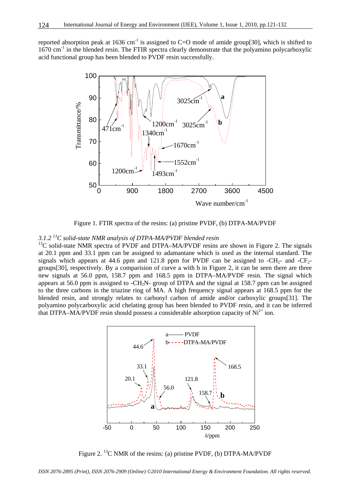reported absorption peak at 1636 cm<sup>-1</sup> is assigned to C=O mode of amide group[30], which is shifted to  $1670 \text{ cm}^{-1}$  in the blended resin. The FTIR spectra clearly demonstrate that the polyamino polycarboxylic acid functional group has been blended to PVDF resin successfully.



Figure 1. FTIR spectra of the resins: (a) pristine PVDF, (b) DTPA-MA/PVDF

## *3.1.2 13C solid-state NMR analysis of DTPA-MA/PVDF blended resin*

 $13C$  solid-state NMR spectra of PVDF and DTPA–MA/PVDF resins are shown in Figure 2. The signals at 20.1 ppm and 33.1 ppm can be assigned to adamantane which is used as the internal standard. The signals which appears at 44.6 ppm and 121.8 ppm for PVDF can be assigned to  $-CH_{2}$ - and  $-CF_{2}$ groups[30], respectively. By a comparision of curve a with b in Figure 2, it can be seen there are three new signals at 56.0 ppm, 158.7 ppm and 168.5 ppm in DTPA–MA/PVDF resin. The signal which appears at 56.0 ppm is assigned to -CH<sub>2</sub>N- group of DTPA and the signal at 158.7 ppm can be assigned to the three carbons in the triazine ring of MA. A high frequency signal appears at 168.5 ppm for the blended resin, and strongly relates to carbonyl carbon of amide and/or carboxylic groups[31]. The polyamino polycarboxylic acid chelating group has been blended to PVDF resin, and it can be inferred that DTPA–MA/PVDF resin should possess a considerable adsorption capacity of  $Ni<sup>2+</sup>$  ion.



Figure 2. <sup>13</sup>C NMR of the resins: (a) pristine PVDF, (b) DTPA-MA/PVDF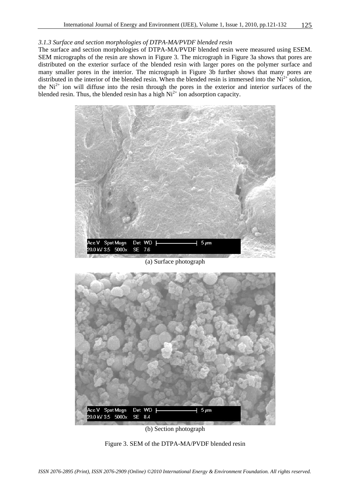## *3.1.3 Surface and section morphologies of DTPA-MA/PVDF blended resin*

The surface and section morphologies of DTPA-MA/PVDF blended resin were measured using ESEM. SEM micrographs of the resin are shown in Figure 3. The micrograph in Figure 3a shows that pores are distributed on the exterior surface of the blended resin with larger pores on the polymer surface and many smaller pores in the interior. The micrograph in Figure 3b further shows that many pores are distributed in the interior of the blended resin. When the blended resin is immersed into the  $Ni<sup>2+</sup>$  solution, the  $Ni<sup>2+</sup>$  ion will diffuse into the resin through the pores in the exterior and interior surfaces of the blended resin. Thus, the blended resin has a high  $Ni<sup>2+</sup>$  ion adsorption capacity.



(a) Surface photograph



(b) Section photograph

Figure 3. SEM of the DTPA-MA/PVDF blended resin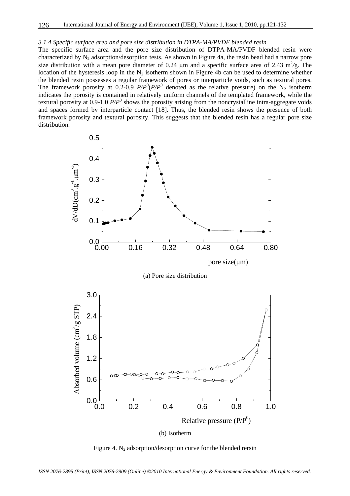#### *3.1.4 Specific surface area and pore size distribution in DTPA-MA/PVDF blended resin*

The specific surface area and the pore size distribution of DTPA-MA/PVDF blended resin were characterized by  $N_2$  adsorption/desorption tests. As shown in Figure 4a, the resin bead had a narrow pore size distribution with a mean pore diameter of 0.24  $\mu$ m and a specific surface area of 2.43 m<sup>2</sup>/g. The location of the hysteresis loop in the  $N_2$  isotherm shown in Figure 4b can be used to determine whether the blended resin possesses a regular framework of pores or interparticle voids, such as textural pores. The framework porosity at 0.2-0.9  $P/P^{0}(P/P^{0})$  denoted as the relative pressure) on the N<sub>2</sub> isotherm indicates the porosity is contained in relatively uniform channels of the templated framework, while the textural porosity at  $0.9$ -1.0  $P/P<sup>0</sup>$  shows the porosity arising from the noncrystalline intra-aggregate voids and spaces formed by interparticle contact [18]. Thus, the blended resin shows the presence of both framework porosity and textural porosity. This suggests that the blended resin has a regular pore size distribution.



Figure 4.  $N_2$  adsorption/desorption curve for the blended rersin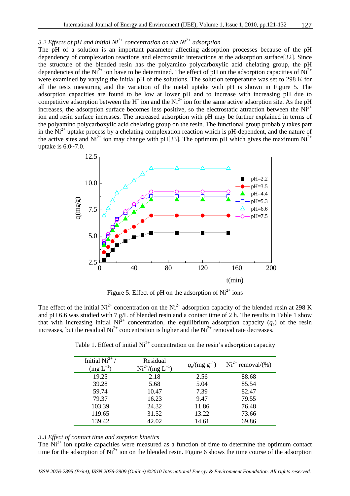## 3.2 Effects of pH and initial  $Ni^{2+}$  concentration on the  $Ni^{2+}$  adsorption

The pH of a solution is an important parameter affecting adsorption processes because of the pH dependency of complexation reactions and electrostatic interactions at the adsorption surface[32]. Since the structure of the blended resin has the polyamino polycarboxylic acid chelating group, the pH dependencies of the  $Ni^{2+}$  ion have to be determined. The effect of pH on the adsorption capacities of  $Ni^{2+}$ were examined by varying the initial pH of the solutions. The solution temperature was set to 298 K for all the tests measuring and the variation of the metal uptake with pH is shown in Figure 5. The adsorption capacities are found to be low at lower pH and to increase with increasing pH due to competitive adsorption between the H<sup>+</sup> ion and the Ni<sup>2+</sup> ion for the same active adsorption site. As the pH increases, the adsorption surface becomes less positive, so the electrostatic attraction between the  $\overrightarrow{Ni}^{2+}$ ion and resin surface increases. The increased adsorption with pH may be further explained in terms of the polyamino polycarboxylic acid chelating group on the resin. The functional group probably takes part in the  $Ni<sup>2+</sup>$  uptake process by a chelating complexation reaction which is pH-dependent, and the nature of the active sites and  $Ni^{2+}$  ion may change with pH[33]. The optimum pH which gives the maximum  $Ni^{2+}$ uptake is 6.0~7.0.



Figure 5. Effect of pH on the adsorption of  $Ni^{2+}$  ions

The effect of the initial  $Ni^{2+}$  concentration on the  $Ni^{2+}$  adsorption capacity of the blended resin at 298 K and pH 6.6 was studied with 7 g/L of blended resin and a contact time of 2 h. The results in Table 1 show that with increasing initial  $Ni^{2+}$  concentration, the equilibrium adsorption capacity ( $q_e$ ) of the resin increases, but the residual  $Ni^{2+}$  concentration is higher and the  $Ni^{2+}$  removal rate decreases.

| Initial $Ni^{2+}/$<br>$(mg \cdot L^{-1})$ | Residual<br>$Ni^{2+}/(mg \cdot L^{-1})$ | $q_e/(\text{mg} \cdot \text{g}^{-1})$ | $Ni2+ removal/(% )$ |
|-------------------------------------------|-----------------------------------------|---------------------------------------|---------------------|
| 19.25                                     | 2.18                                    | 2.56                                  | 88.68               |
| 39.28                                     | 5.68                                    | 5.04                                  | 85.54               |
| 59.74                                     | 10.47                                   | 7.39                                  | 82.47               |
| 79.37                                     | 16.23                                   | 9.47                                  | 79.55               |
| 103.39                                    | 24.32                                   | 11.86                                 | 76.48               |
| 119.65                                    | 31.52                                   | 13.22                                 | 73.66               |
| 139.42                                    | 42.02                                   | 14.61                                 | 69.86               |

Table 1. Effect of initial  $Ni<sup>2+</sup>$  concentration on the resin's adsorption capacity

## *3.3 Effect of contact time and sorption kinetics*

The  $\mathrm{Ni^{2+}}$  ion uptake capacities were measured as a function of time to determine the optimum contact time for the adsorption of  $Ni^{2+}$  ion on the blended resin. Figure 6 shows the time course of the adsorption

*ISSN 2076-2895 (Print), ISSN 2076-2909 (Online) ©2010 International Energy & Environment Foundation. All rights reserved.*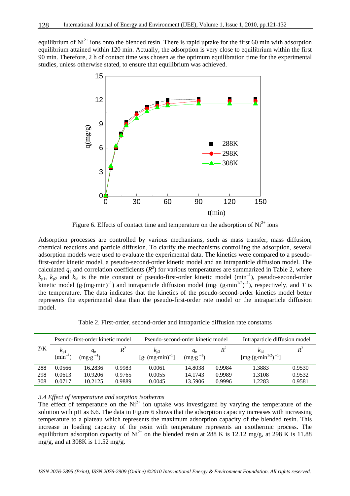equilibrium of  $Ni^{2+}$  ions onto the blended resin. There is rapid uptake for the first 60 min with adsorption equilibrium attained within 120 min. Actually, the adsorption is very close to equilibrium within the first 90 min. Therefore, 2 h of contact time was chosen as the optimum equilibration time for the experimental studies, unless otherwise stated, to ensure that equilibrium was achieved.



Figure 6. Effects of contact time and temperature on the adsorption of  $Ni^{2+}$  ions

Adsorption processes are controlled by various mechanisms, such as mass transfer, mass diffusion, chemical reactions and particle diffusion. To clarify the mechanisms controlling the adsorption, several adsorption models were used to evaluate the experimental data. The kinetics were compared to a pseudofirst-order kinetic model, a pseudo-second-order kinetic model and an intraparticle diffusion model. The calculated  $q_e$  and correlation coefficients  $(R^2)$  for various temperatures are summarized in Table 2, where  $k_{p1}$ ,  $k_{p2}$  and  $k_{id}$  is the rate constant of pseudo-first-order kinetic model (min<sup>-1</sup>), pseudo-second-order kinetic model  $(g \cdot (mg \cdot \text{min})^{-1})$  and intraparticle diffusion model (mg $\cdot$  (g $\cdot$ min<sup>1/2</sup>)<sup>-1</sup>), respectively, and *T* is the temperature. The data indicates that the kinetics of the pseudo-second-order kinetics model better represents the experimental data than the pseudo-first-order rate model or the intraparticle diffusion model.

Table 2. First-order, second-order and intraparticle diffusion rate constants

| Pseudo-first-order kinetic model |                      |                     |        |                                 | Pseudo-second-order kinetic model |        | Intraparticle diffusion model                                         |        |
|----------------------------------|----------------------|---------------------|--------|---------------------------------|-----------------------------------|--------|-----------------------------------------------------------------------|--------|
| T/K                              | $\kappa_{\text{p1}}$ | $q_{e}$             | $R^2$  | $k_{p2}$                        | $q_{e}$                           | $R^2$  | $k_{\rm id}$                                                          | $R^2$  |
|                                  | (min                 | $(mg \cdot g^{-1})$ |        | $[g \cdot (mg \cdot min)^{-1}]$ | $(mg \cdot g^{-1})$               |        | $\left[\text{mg} \cdot (\text{g} \cdot \text{min}^{1/2})^{-1}\right]$ |        |
| 288                              | 0.0566               | 16.2836             | 0.9983 | 0.0061                          | 14.8038                           | 0.9984 | 1.3883                                                                | 0.9530 |
| 298                              | 0.0613               | 10.9206             | 0.9765 | 0.0055                          | 14.1743                           | 0.9989 | 1.3108                                                                | 0.9532 |
| 308                              | 0.0717               | 10.2125             | 0.9889 | 0.0045                          | 13.5906                           | 0.9996 | .2283                                                                 | 0.9581 |

## *3.4 Effect of temperature and sorption isotherms*

The effect of temperature on the  $Ni^{2+}$  ion uptake was investigated by varying the temperature of the solution with pH as 6.6. The data in Figure 6 shows that the adsorption capacity increases with increasing temperature to a plateau which represents the maximum adsorption capacity of the blended resin. This increase in loading capacity of the resin with temperature represents an exothermic process. The equilibrium adsorption capacity of  $Ni^{2+}$  on the blended resin at 288 K is 12.12 mg/g, at 298 K is 11.88 mg/g, and at 308K is 11.52 mg/g.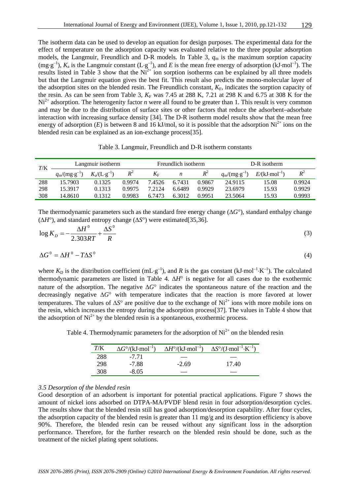The isotherm data can be used to develop an equation for design purposes. The experimental data for the effect of temperature on the adsorption capacity was evaluated relative to the three popular adsorption models, the Langmuir, Freundlich and D-R models. In Table 3,  $q<sub>m</sub>$  is the maximum sorption capacity  $(mg·g<sup>-1</sup>)$ ,  $K_a$  is the Langmuir constant  $(L·g<sup>-1</sup>)$ , and *E* is the mean free energy of adsorption (kJ·mol<sup>-1</sup>). The results listed in Table 3 show that the  $Ni<sup>2+</sup>$  ion sorption isotherms can be explained by all three models but that the Langmuir equation gives the best fit. This result also predicts the mono-molecular layer of the adsorption sites on the blended resin. The Freundlich constant,  $K_F$ , indicates the sorption capacity of the resin. As can be seen from Table 3,  $K_F$  was 7.45 at 288 K, 7.21 at 298 K and 6.75 at 308 K for the  $Ni<sup>2+</sup>$  adsorption. The heterogenity factor *n* were all found to be greater than 1. This result is very common and may be due to the distribution of surface sites or other factors that reduce the adsorbent–adsorbate interaction with increasing surface density [34]. The D-R isotherm model results show that the mean free energy of adsorption  $(E)$  is between 8 and 16 kJ/mol, so it is possible that the adsorption  $Ni^{2+}$  ions on the blended resin can be explained as an ion-exchange process[35].

Table 3. Langmuir, Freundlich and D-R isotherm constants

| $T\!/\mathrm{K}$ | Langmuir isotherm                 |                                              |        | Freundlich isotherm |                  |        | D-R isotherm                               |                         |        |
|------------------|-----------------------------------|----------------------------------------------|--------|---------------------|------------------|--------|--------------------------------------------|-------------------------|--------|
|                  | $q_{\rm m}/(\rm{mg}\cdot g^{-1})$ | $K_{\rm a}/(\mathrm{L}\cdot\mathrm{g}^{-1})$ | $R^2$  | $K_{\rm F}$         | $\boldsymbol{n}$ | $R^2$  | $q_{\rm m}/(\text{mg}\cdot \text{g}^{-1})$ | $E/(kJ \cdot mol^{-1})$ | $R^2$  |
| 288              | 15.7903                           | 0.1325                                       | 0.9974 | 7.4526              | 6.7431           | 0.9867 | 24.9115                                    | 15.08                   | 0.9924 |
| 298              | 15.3917                           | 0.1313                                       | 0.9975 | 7.2124              | 6.6489           | 0.9929 | 23.6979                                    | 15.93                   | 0.9929 |
| 308              | 14.8610                           | 0.1312                                       | 0.9983 | 6.7473              | 6.3012           | 0.9951 | 23.5064                                    | 15.93                   | 0.9993 |

The thermodynamic parameters such as the standard free energy change (∆*G*°), standard enthalpy change (∆*H*°), and standard entropy change (∆*S*°) were estimated[35,36].

$$
\log K_D = -\frac{\Delta H^0}{2.303RT} + \frac{\Delta S^0}{R}
$$
\n(3)

$$
\Delta G^0 = \Delta H^0 - T \Delta S^0 \tag{4}
$$

where  $K_D$  is the distribution coefficient (mL⋅g<sup>-1</sup>), and *R* is the gas constant (kJ⋅mol<sup>-1</sup>⋅K<sup>-1</sup>). The calculated thermodynamic parameters are listed in Table 4. ∆*H*° is negative for all cases due to the exothermic nature of the adsorption. The negative ∆*G*° indicates the spontaneous nature of the reaction and the decreasingly negative ∆*G*° with temperature indicates that the reaction is more favored at lower temperatures. The values of ∆*S*° are positive due to the exchange of Ni2+ ions with more mobile ions on the resin, which increases the entropy during the adsorption process[37]. The values in Table 4 show that the adsorption of  $Ni^{2+}$  by the blended resin is a spontaneous, exothermic process.

Table 4. Thermodynamic parameters for the adsorption of  $Ni^{2+}$  on the blended resin

| T/K | $\Delta G^{\circ}/(\mathrm{kJ\cdot mol^{-1}})$ | $\Delta H^{\circ}/(\mathrm{kJ\cdot mol^{-1}})$ | $\Delta S^{\circ}/(\text{J}\cdot \text{mol}^{-1}\cdot \text{K}^{-1})$ |
|-----|------------------------------------------------|------------------------------------------------|-----------------------------------------------------------------------|
| 288 | $-7.71$                                        |                                                |                                                                       |
| 298 | $-7.88$                                        | $-2.69$                                        | 17.40                                                                 |
| 308 | $-8.05$                                        |                                                |                                                                       |

## *3.5 Desorption of the blended resin*

Good desorption of an adsorbent is important for potential practical applications. Figure 7 shows the amount of nickel ions adsorbed on DTPA-MA/PVDF blend resin in four adsorption/desorption cycles. The results show that the blended resin still has good adsorption/desorption capability. After four cycles, the adsorption capacity of the blended resin is greater than 11 mg/g and its desorption efficiency is above 90%. Therefore, the blended resin can be reused without any significant loss in the adsorption performance. Therefore, for the further research on the blended resin should be done, such as the treatment of the nickel plating spent solutions.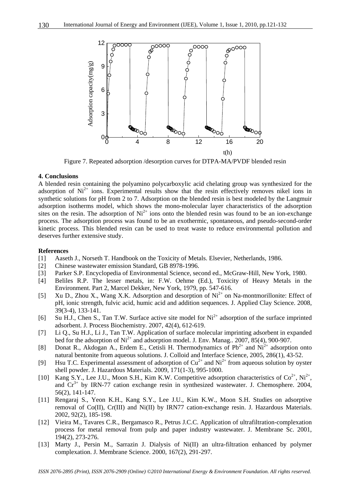

Figure 7. Repeated adsorption /desorption curves for DTPA-MA/PVDF blended resin

#### **4. Conclusions**

A blended resin containing the polyamino polycarboxylic acid chelating group was synthesized for the adsorption of  $Ni<sup>2+</sup>$  ions. Experimental results show that the resin effectively removes nikel ions in synthetic solutions for pH from 2 to 7. Adsorption on the blended resin is best modeled by the Langmuir adsorption isotherms model, which shows the mono-molecular layer characteristics of the adsorption sites on the resin. The adsorption of  $Ni^{2+}$  ions onto the blended resin was found to be an ion-exchange process. The adsorption process was found to be an exothermic, spontaneous, and pseudo-second-order kinetic process. This blended resin can be used to treat waste to reduce environmental pollution and deserves further extensive study.

#### **References**

- [1] Aaseth J., Norseth T. Handbook on the Toxicity of Metals. Elsevier, Netherlands, 1986.
- [2] Chinese wastewater emission Standard, GB 8978-1996.
- [3] Parker S.P. Encyclopedia of Environmental Science, second ed., McGraw-Hill, New York, 1980.
- [4] Beliles R.P. The lesser metals, in: F.W. Oehme (Ed.), Toxicity of Heavy Metals in the Environment. Part 2, Marcel Dekker, New York, 1979, pp. 547-616.
- [5] Xu D., Zhou X., Wang X.K. Adsorption and desorption of  $Ni^{2+}$  on Na-montmorillonite: Effect of pH, ionic strength, fulvic acid, humic acid and addition sequences. J. Applied Clay Science. 2008, 39(3-4), 133-141.
- [6] Su H.J., Chen S., Tan T.W. Surface active site model for Ni<sup>2+</sup> adsorption of the surface imprinted adsorbent. J. Process Biochemistry. 2007, 42(4), 612-619.
- [7] Li Q., Su H.J., Li J., Tan T.W. Application of surface molecular imprinting adsorbent in expanded bed for the adsorption of  $Ni^{2+}$  and adsorption model. J. Env. Manag.. 2007, 85(4), 900-907.
- [8] Donat R., Akdogan A., Erdem E., Cetisli H. Thermodynamics of  $Pb^{2+}$  and  $Ni^{2+}$  adsorption onto natural bentonite from aqueous solutions. J. Colloid and Interface Science, 2005, 286(1), 43-52.
- [9] Hsu T.C. Experimental assessment of adsorption of  $Cu^{2+}$  and  $Ni^{2+}$  from aqueous solution by oyster shell powder. J. Hazardous Materials. 2009, 171(1-3), 995-1000.
- [10] Kang S.Y., Lee J.U., Moon S.H., Kim K.W. Competitive adsorption characteristics of  $Co^{2+}$ , Ni<sup>2+</sup>, and  $Cr^{3+}$  by IRN-77 cation exchange resin in synthesized wastewater. J. Chemosphere. 2004, 56(2), 141-147.
- [11] Rengaraj S., Yeon K.H., Kang S.Y., Lee J.U., Kim K.W., Moon S.H. Studies on adsorptive removal of Co(II), Cr(III) and Ni(II) by IRN77 cation-exchange resin. J. Hazardous Materials. 2002, 92(2), 185-198.
- [12] Vieira M., Tavares C.R., Bergamasco R., Petrus J.C.C. Application of ultrafiltration-complexation process for metal removal from pulp and paper industry wastewater. J. Membrane Sc. 2001, 194(2), 273-276.
- [13] Marty J., Persin M., Sarrazin J. Dialysis of Ni(II) an ultra-filtration enhanced by polymer complexation. J. Membrane Science. 2000, 167(2), 291-297.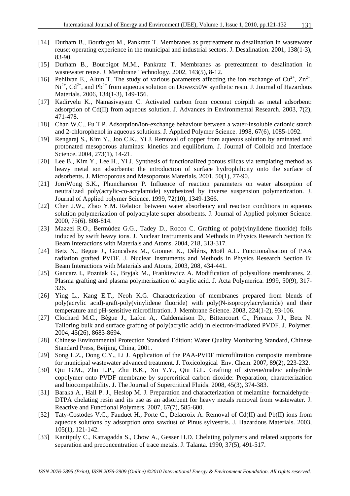- [14] Durham B., Bourbigot M., Pankratz T. Membranes as pretreatment to desalination in wastewater reuse: operating experience in the municipal and industrial sectors. J. Desalination. 2001, 138(1-3), 83-90.
- [15] Durham B., Bourbigot M.M., Pankratz T. Membranes as pretreatment to desalination in wastewater reuse. J. Membrane Technology. 2002, 143(5), 8-12.
- [16] Pehlivan E., Altun T. The study of various parameters affecting the ion exchange of  $Cu^{2+}$ ,  $Zn^{2+}$ ,  $Ni<sup>2+</sup>, Cd<sup>2+</sup>, and Pb<sup>2+</sup> from aqueous solution on Dowex50W synthetic resin. J. Journal of Hazardous$ Materials. 2006, 134(1-3), 149-156.
- [17] Kadirvelu K., Namasivayam C. Activated carbon from coconut coirpith as metal adsorbent: adsorption of Cd(II) from aqueous solution. J. Advances in Environmental Research. 2003, 7(2), 471-478.
- [18] Chan W.C., Fu T.P. Adsorption/ion-exchange behaviour between a water-insoluble cationic starch and 2-chlorophenol in aqueous solutions. J. Applied Polymer Science. 1998, 67(6), 1085-1092.
- [19] Rengaraj S., Kim Y., Joo C.K., Yi J. Removal of copper from aqueous solution by aminated and protonated mesoporous aluminas: kinetics and equilibrium. J. Journal of Colloid and Interface Science. 2004, 273(1), 14-21.
- [20] Lee B., Kim Y., Lee H., Yi J. Synthesis of functionalized porous silicas via templating method as heavy metal ion adsorbents: the introduction of surface hydrophilicity onto the surface of adsorbents. J. Microporous and Mesoporous Materials. 2001, 50(1), 77-90.
- [21] JornWong S.K., Phunchareon P. Influence of reaction parameters on water absorption of neutralized poly(acrylic-co-acrylamide) synthesized by inverse suspension polymerization. J. Journal of Applied polymer Science. 1999, 72(10), 1349-1366.
- [22] Chen J.W., Zhao Y.M. Relation between water absorbency and reaction conditions in aqueous solution polymerization of polyacrylate super absorbents. J. Journal of Applied polymer Science. 2000, 75(6). 808-814.
- [23] Mazzei R.O., Bermúdez G.G., Tadey D., Rocco C. Grafting of poly(vinylidene fluoride) foils induced by swift heavy ions. J. Nuclear Instruments and Methods in Physics Research Section B: Beam Interactions with Materials and Atoms. 2004, 218, 313-317.
- [24] Betz N., Begue J., Goncalves M., Gionnet K., Déléris, Moël A.L. Functionalisation of PAA radiation grafted PVDF. J. Nuclear Instruments and Methods in Physics Research Section B: Beam Interactions with Materials and Atoms, 2003, 208, 434-441.
- [25] Gancarz I., Pozniak G., Bryjak M., Frankiewicz A. Modification of polysulfone membranes. 2. Plasma grafting and plasma polymerization of acrylic acid. J. Acta Polymerica. 1999, 50(9), 317- 326.
- [26] Ying L., Kang E.T., Neoh K.G. Characterization of membranes prepared from blends of poly(acrylic acid)-graft-poly(vinylidene fluoride) with poly(N-isopropylacrylamide) and their temperature and pH-sensitive microfiltration. J. Membrane Science. 2003, 224(1-2), 93-106.
- [27] Clochard M.C., Bègue J., Lafon A,. Caldemaison D., Bittencourt C., Pireaux J.J., Betz N. Tailoring bulk and surface grafting of poly(acrylic acid) in electron-irradiated PVDF. J. Polymer. 2004, 45(26), 8683-8694.
- [28] Chinese Environmental Protection Standard Edition: Water Quality Monitoring Standard, Chinese Standard Press, Beijing, China, 2001.
- [29] Song L.Z., Dong C.Y., Li J. Application of the PAA-PVDF microfiltration composite membrane for municipal wastewater advanced treatment. J. Toxicological Env. Chem. 2007, 89(2), 223-232.
- [30] Qiu G.M., Zhu L.P., Zhu B.K., Xu Y.Y., Qiu G.L. Grafting of styrene/maleic anhydride copolymer onto PVDF membrane by supercritical carbon dioxide: Preparation, characterization and biocompatibility. J. The Journal of Supercritical Fluids. 2008, 45(3), 374-383.
- [31] Baraka A., Hall P. J., Heslop M. J. Preparation and characterization of melamine–formaldehyde– DTPA chelating resin and its use as an adsorbent for heavy metals removal from wastewater. J. Reactive and Functional Polymers. 2007, 67(7), 585-600.
- [32] Taty-Costodes V.C., Fauduet H., Porte C., Delacroix A. Removal of Cd(II) and Pb(II) ions from aqueous solutions by adsorption onto sawdust of Pinus sylvestris. J. Hazardous Materials. 2003, 105(1), 121-142.
- [33] Kantipuly C., Katragadda S., Chow A., Gesser H.D. Chelating polymers and related supports for separation and preconcentration of trace metals. J. Talanta. 1990, 37(5), 491-517.